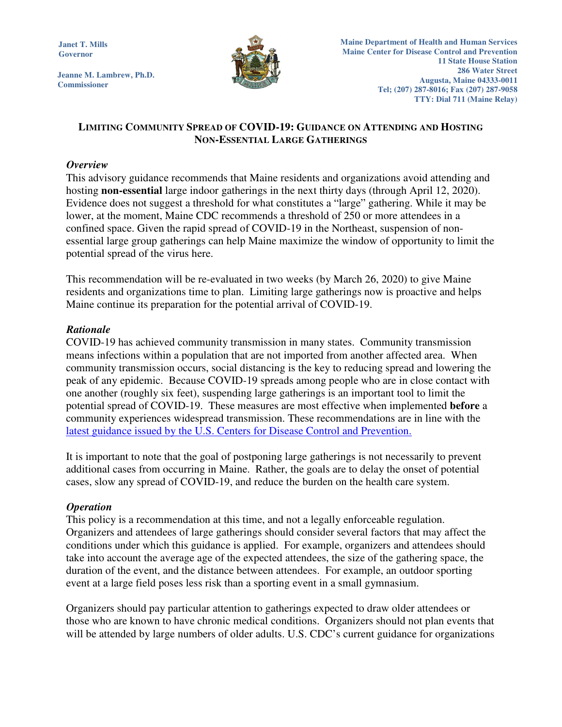**Janet T. Mills Governor** 

**Jeanne M. Lambrew, Ph.D. Commissioner**



# **LIMITING COMMUNITY SPREAD OF COVID-19: GUIDANCE ON ATTENDING AND HOSTING NON-ESSENTIAL LARGE GATHERINGS**

## *Overview*

This advisory guidance recommends that Maine residents and organizations avoid attending and hosting **non-essential** large indoor gatherings in the next thirty days (through April 12, 2020). Evidence does not suggest a threshold for what constitutes a "large" gathering. While it may be lower, at the moment, Maine CDC recommends a threshold of 250 or more attendees in a confined space. Given the rapid spread of COVID-19 in the Northeast, suspension of nonessential large group gatherings can help Maine maximize the window of opportunity to limit the potential spread of the virus here.

This recommendation will be re-evaluated in two weeks (by March 26, 2020) to give Maine residents and organizations time to plan. Limiting large gatherings now is proactive and helps Maine continue its preparation for the potential arrival of COVID-19.

### *Rationale*

COVID-19 has achieved community transmission in many states. Community transmission means infections within a population that are not imported from another affected area. When community transmission occurs, social distancing is the key to reducing spread and lowering the peak of any epidemic. Because COVID-19 spreads among people who are in close contact with one another (roughly six feet), suspending large gatherings is an important tool to limit the potential spread of COVID-19. These measures are most effective when implemented **before** a community experiences widespread transmission. These recommendations are in line with the latest guidance issued by the U.S. Centers for Disease Control and Prevention.

It is important to note that the goal of postponing large gatherings is not necessarily to prevent additional cases from occurring in Maine. Rather, the goals are to delay the onset of potential cases, slow any spread of COVID-19, and reduce the burden on the health care system.

## *Operation*

This policy is a recommendation at this time, and not a legally enforceable regulation. Organizers and attendees of large gatherings should consider several factors that may affect the conditions under which this guidance is applied. For example, organizers and attendees should take into account the average age of the expected attendees, the size of the gathering space, the duration of the event, and the distance between attendees. For example, an outdoor sporting event at a large field poses less risk than a sporting event in a small gymnasium.

Organizers should pay particular attention to gatherings expected to draw older attendees or those who are known to have chronic medical conditions. Organizers should not plan events that will be attended by large numbers of older adults. U.S. CDC's current guidance for organizations